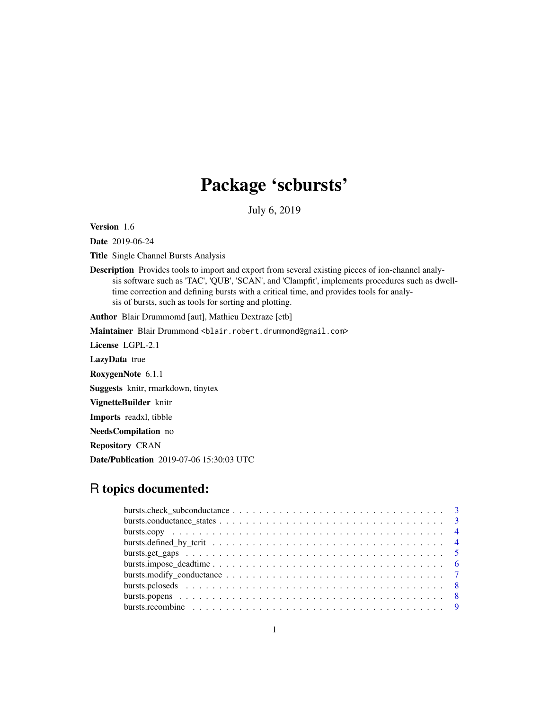# Package 'scbursts'

July 6, 2019

Version 1.6

Date 2019-06-24

Title Single Channel Bursts Analysis

Description Provides tools to import and export from several existing pieces of ion-channel analysis software such as 'TAC', 'QUB', 'SCAN', and 'Clampfit', implements procedures such as dwelltime correction and defining bursts with a critical time, and provides tools for analysis of bursts, such as tools for sorting and plotting.

Author Blair Drummomd [aut], Mathieu Dextraze [ctb]

Maintainer Blair Drummond <blair.robert.drummond@gmail.com>

License LGPL-2.1

LazyData true

RoxygenNote 6.1.1

Suggests knitr, rmarkdown, tinytex

VignetteBuilder knitr

Imports readxl, tibble

NeedsCompilation no

Repository CRAN

Date/Publication 2019-07-06 15:30:03 UTC

# R topics documented: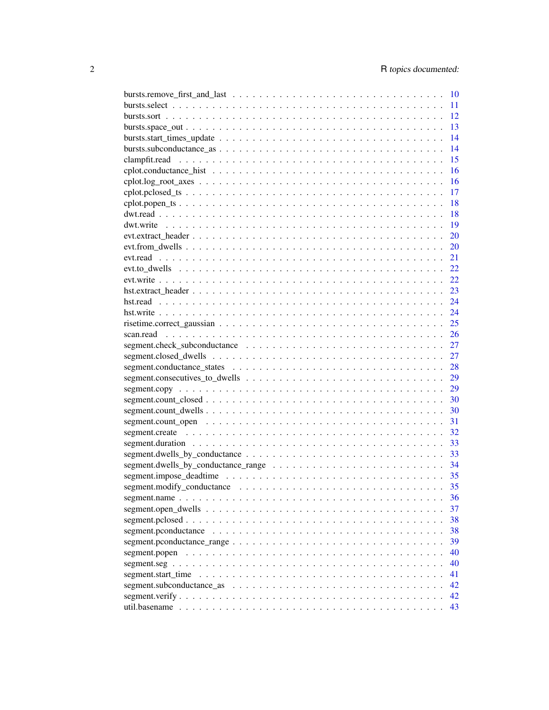|                                                                                                                            | 10   |
|----------------------------------------------------------------------------------------------------------------------------|------|
|                                                                                                                            | 11   |
|                                                                                                                            | 12   |
|                                                                                                                            | 13   |
|                                                                                                                            | 14   |
|                                                                                                                            | 14   |
|                                                                                                                            | 15   |
|                                                                                                                            | 16   |
|                                                                                                                            | 16   |
| $\text{cplot.pclosed\_ts} \dots \dots \dots \dots \dots \dots \dots \dots \dots \dots \dots \dots \dots \dots \dots \dots$ | 17   |
|                                                                                                                            | 18   |
|                                                                                                                            | 18   |
|                                                                                                                            | 19   |
|                                                                                                                            | 20   |
|                                                                                                                            | 20   |
|                                                                                                                            | 21   |
|                                                                                                                            | 22   |
|                                                                                                                            | 22   |
|                                                                                                                            | 23   |
|                                                                                                                            | 24   |
|                                                                                                                            | 24   |
|                                                                                                                            | 25   |
|                                                                                                                            | 26   |
|                                                                                                                            | 27   |
|                                                                                                                            | 27   |
|                                                                                                                            | 28   |
|                                                                                                                            | 29   |
|                                                                                                                            | 29   |
|                                                                                                                            | 30   |
|                                                                                                                            | 30   |
|                                                                                                                            | 31   |
|                                                                                                                            | 32   |
|                                                                                                                            | 33   |
|                                                                                                                            | 33   |
|                                                                                                                            | 34   |
|                                                                                                                            | - 35 |
|                                                                                                                            | 35   |
|                                                                                                                            | 36   |
|                                                                                                                            | 37   |
|                                                                                                                            | 38   |
|                                                                                                                            | 38   |
|                                                                                                                            | 39   |
|                                                                                                                            | 40   |
|                                                                                                                            |      |
|                                                                                                                            | 40   |
|                                                                                                                            | 41   |
|                                                                                                                            | 42   |
|                                                                                                                            | 42   |
|                                                                                                                            | 43   |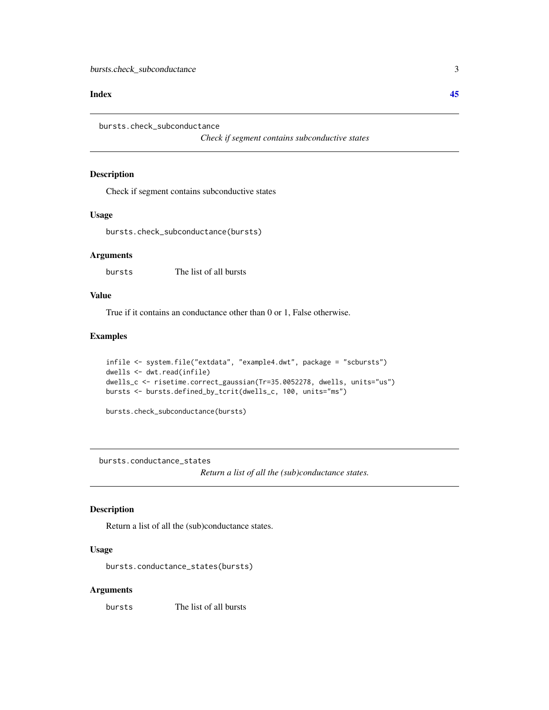#### <span id="page-2-0"></span>**Index** [45](#page-44-0)

bursts.check\_subconductance

*Check if segment contains subconductive states*

#### Description

Check if segment contains subconductive states

#### Usage

bursts.check\_subconductance(bursts)

#### Arguments

bursts The list of all bursts

#### Value

True if it contains an conductance other than 0 or 1, False otherwise.

#### Examples

```
infile <- system.file("extdata", "example4.dwt", package = "scbursts")
dwells <- dwt.read(infile)
dwells_c <- risetime.correct_gaussian(Tr=35.0052278, dwells, units="us")
bursts <- bursts.defined_by_tcrit(dwells_c, 100, units="ms")
```
bursts.check\_subconductance(bursts)

bursts.conductance\_states

*Return a list of all the (sub)conductance states.*

#### Description

Return a list of all the (sub)conductance states.

#### Usage

bursts.conductance\_states(bursts)

#### Arguments

bursts The list of all bursts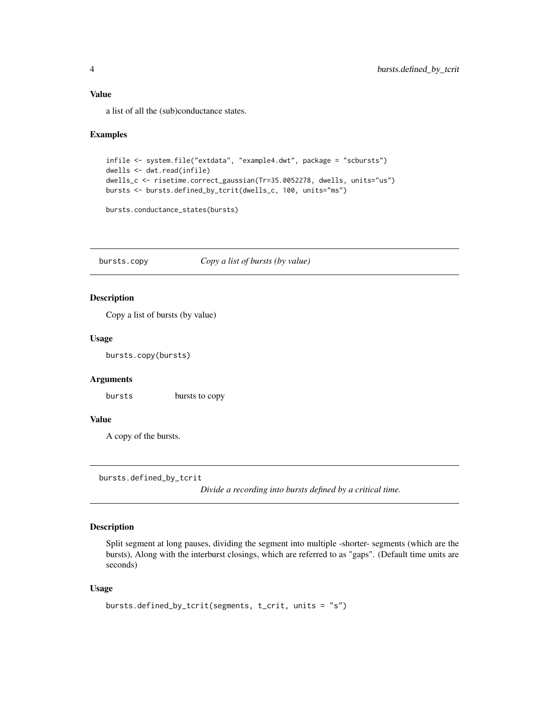#### <span id="page-3-0"></span>Value

a list of all the (sub)conductance states.

#### Examples

```
infile <- system.file("extdata", "example4.dwt", package = "scbursts")
dwells <- dwt.read(infile)
dwells_c <- risetime.correct_gaussian(Tr=35.0052278, dwells, units="us")
bursts <- bursts.defined_by_tcrit(dwells_c, 100, units="ms")
```

```
bursts.conductance_states(bursts)
```
bursts.copy *Copy a list of bursts (by value)*

#### Description

Copy a list of bursts (by value)

#### Usage

bursts.copy(bursts)

#### Arguments

bursts bursts to copy

#### Value

A copy of the bursts.

bursts.defined\_by\_tcrit

*Divide a recording into bursts defined by a critical time.*

#### Description

Split segment at long pauses, dividing the segment into multiple -shorter- segments (which are the bursts), Along with the interburst closings, which are referred to as "gaps". (Default time units are seconds)

#### Usage

```
bursts.defined_by_tcrit(segments, t_crit, units = "s")
```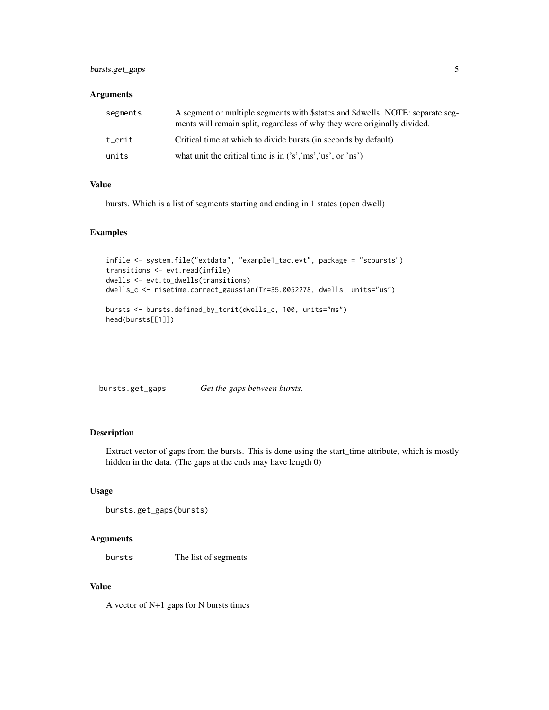#### <span id="page-4-0"></span>bursts.get\_gaps 5

#### Arguments

| segments | A segment or multiple segments with \$states and \$dwells. NOTE: separate seg-<br>ments will remain split, regardless of why they were originally divided. |
|----------|------------------------------------------------------------------------------------------------------------------------------------------------------------|
| t crit   | Critical time at which to divide bursts (in seconds by default)                                                                                            |
| units    | what unit the critical time is in $('s','ms','us','0s')$                                                                                                   |

#### Value

bursts. Which is a list of segments starting and ending in 1 states (open dwell)

#### Examples

```
infile <- system.file("extdata", "example1_tac.evt", package = "scbursts")
transitions <- evt.read(infile)
dwells <- evt.to_dwells(transitions)
dwells_c <- risetime.correct_gaussian(Tr=35.0052278, dwells, units="us")
bursts <- bursts.defined_by_tcrit(dwells_c, 100, units="ms")
head(bursts[[1]])
```
bursts.get\_gaps *Get the gaps between bursts.*

#### Description

Extract vector of gaps from the bursts. This is done using the start\_time attribute, which is mostly hidden in the data. (The gaps at the ends may have length 0)

#### Usage

```
bursts.get_gaps(bursts)
```
#### Arguments

bursts The list of segments

#### Value

A vector of N+1 gaps for N bursts times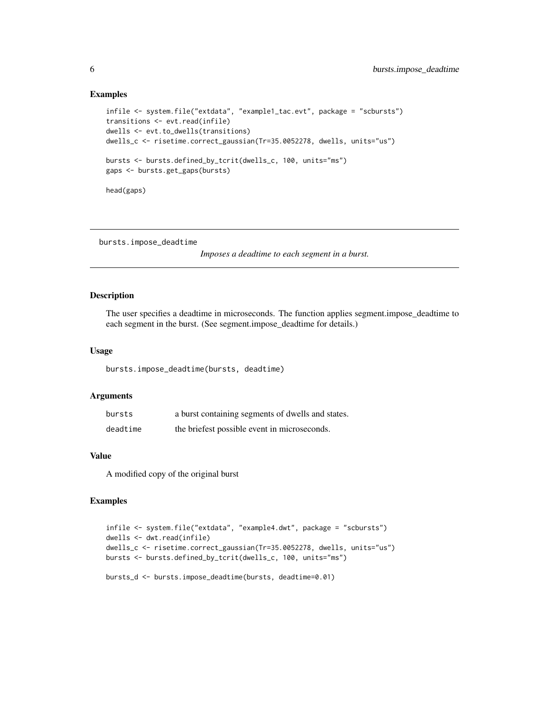#### Examples

```
infile <- system.file("extdata", "example1_tac.evt", package = "scbursts")
transitions <- evt.read(infile)
dwells <- evt.to_dwells(transitions)
dwells_c <- risetime.correct_gaussian(Tr=35.0052278, dwells, units="us")
bursts <- bursts.defined_by_tcrit(dwells_c, 100, units="ms")
gaps <- bursts.get_gaps(bursts)
head(gaps)
```
bursts.impose\_deadtime

*Imposes a deadtime to each segment in a burst.*

#### Description

The user specifies a deadtime in microseconds. The function applies segment.impose\_deadtime to each segment in the burst. (See segment.impose\_deadtime for details.)

#### Usage

bursts.impose\_deadtime(bursts, deadtime)

#### Arguments

| bursts   | a burst containing segments of dwells and states. |
|----------|---------------------------------------------------|
| deadtime | the briefest possible event in microseconds.      |

#### Value

A modified copy of the original burst

```
infile <- system.file("extdata", "example4.dwt", package = "scbursts")
dwells <- dwt.read(infile)
dwells_c <- risetime.correct_gaussian(Tr=35.0052278, dwells, units="us")
bursts <- bursts.defined_by_tcrit(dwells_c, 100, units="ms")
bursts_d <- bursts.impose_deadtime(bursts, deadtime=0.01)
```
<span id="page-5-0"></span>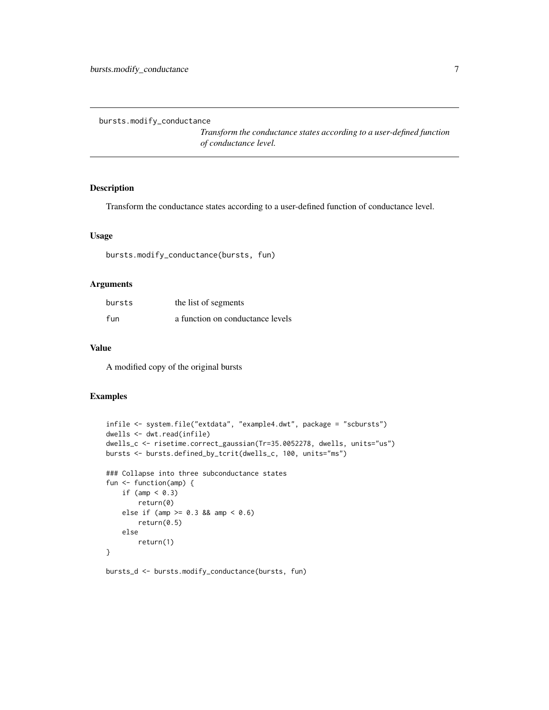<span id="page-6-0"></span>bursts.modify\_conductance

*Transform the conductance states according to a user-defined function of conductance level.*

#### Description

Transform the conductance states according to a user-defined function of conductance level.

#### Usage

```
bursts.modify_conductance(bursts, fun)
```
#### Arguments

| bursts | the list of segments             |
|--------|----------------------------------|
| fun    | a function on conductance levels |

#### Value

A modified copy of the original bursts

#### Examples

```
infile <- system.file("extdata", "example4.dwt", package = "scbursts")
dwells <- dwt.read(infile)
dwells_c <- risetime.correct_gaussian(Tr=35.0052278, dwells, units="us")
bursts <- bursts.defined_by_tcrit(dwells_c, 100, units="ms")
### Collapse into three subconductance states
fun <- function(amp) {
   if (amp < 0.3)
       return(0)
   else if (amp >= 0.3 && amp < 0.6)
        return(0.5)
    else
        return(1)
}
```
#### bursts\_d <- bursts.modify\_conductance(bursts, fun)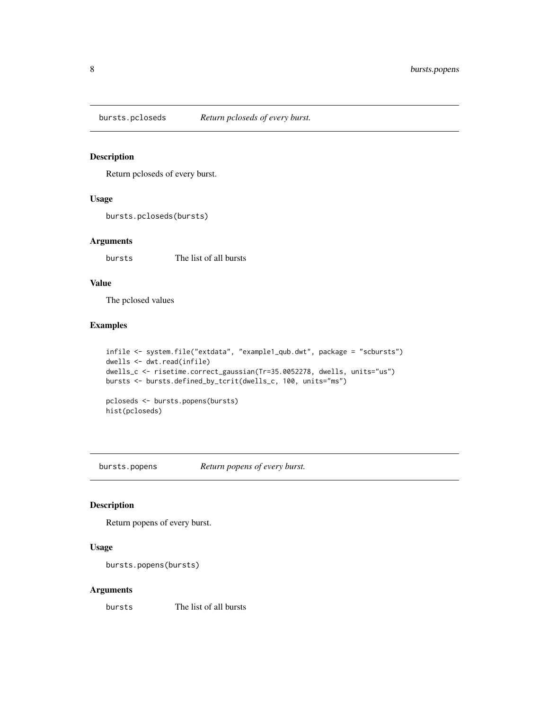<span id="page-7-0"></span>

Return pcloseds of every burst.

#### Usage

```
bursts.pcloseds(bursts)
```
#### Arguments

bursts The list of all bursts

#### Value

The pclosed values

### Examples

```
infile <- system.file("extdata", "example1_qub.dwt", package = "scbursts")
dwells <- dwt.read(infile)
dwells_c <- risetime.correct_gaussian(Tr=35.0052278, dwells, units="us")
bursts <- bursts.defined_by_tcrit(dwells_c, 100, units="ms")
pcloseds <- bursts.popens(bursts)
```
hist(pcloseds)

bursts.popens *Return popens of every burst.*

#### Description

Return popens of every burst.

#### Usage

```
bursts.popens(bursts)
```
#### Arguments

bursts The list of all bursts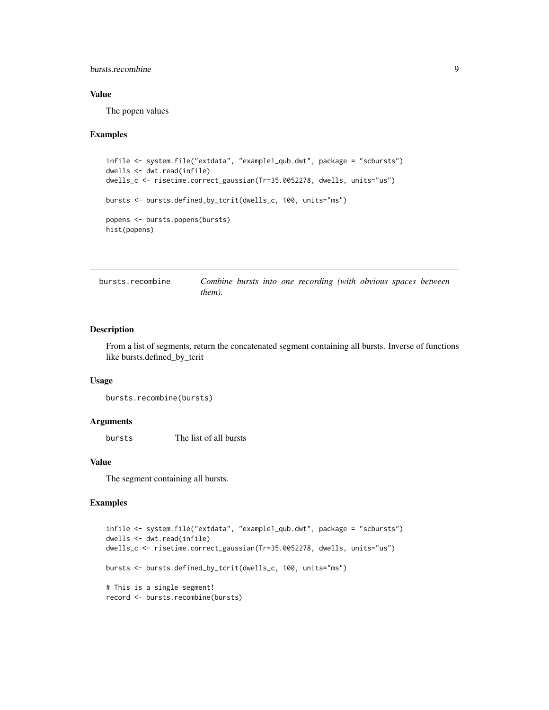#### <span id="page-8-0"></span>bursts.recombine 9

#### Value

The popen values

#### Examples

```
infile <- system.file("extdata", "example1_qub.dwt", package = "scbursts")
dwells <- dwt.read(infile)
dwells_c <- risetime.correct_gaussian(Tr=35.0052278, dwells, units="us")
bursts <- bursts.defined_by_tcrit(dwells_c, 100, units="ms")
popens <- bursts.popens(bursts)
hist(popens)
```

| bursts.recombine |        |  | Combine bursts into one recording (with obvious spaces between |  |  |
|------------------|--------|--|----------------------------------------------------------------|--|--|
|                  | them). |  |                                                                |  |  |

#### Description

From a list of segments, return the concatenated segment containing all bursts. Inverse of functions like bursts.defined\_by\_tcrit

#### Usage

```
bursts.recombine(bursts)
```
#### Arguments

bursts The list of all bursts

#### Value

The segment containing all bursts.

```
infile <- system.file("extdata", "example1_qub.dwt", package = "scbursts")
dwells <- dwt.read(infile)
dwells_c <- risetime.correct_gaussian(Tr=35.0052278, dwells, units="us")
bursts <- bursts.defined_by_tcrit(dwells_c, 100, units="ms")
# This is a single segment!
record <- bursts.recombine(bursts)
```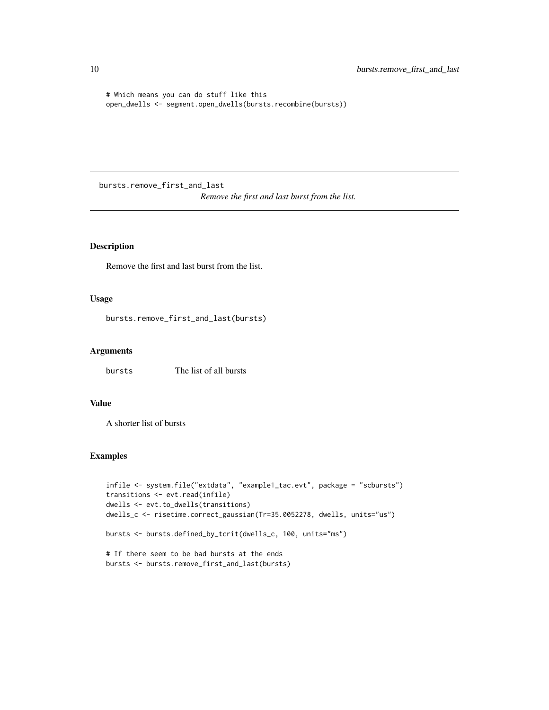```
# Which means you can do stuff like this
open_dwells <- segment.open_dwells(bursts.recombine(bursts))
```
bursts.remove\_first\_and\_last

*Remove the first and last burst from the list.*

### Description

Remove the first and last burst from the list.

#### Usage

bursts.remove\_first\_and\_last(bursts)

#### Arguments

bursts The list of all bursts

#### Value

A shorter list of bursts

```
infile <- system.file("extdata", "example1_tac.evt", package = "scbursts")
transitions <- evt.read(infile)
dwells <- evt.to_dwells(transitions)
dwells_c <- risetime.correct_gaussian(Tr=35.0052278, dwells, units="us")
bursts <- bursts.defined_by_tcrit(dwells_c, 100, units="ms")
```

```
# If there seem to be bad bursts at the ends
bursts <- bursts.remove_first_and_last(bursts)
```
<span id="page-9-0"></span>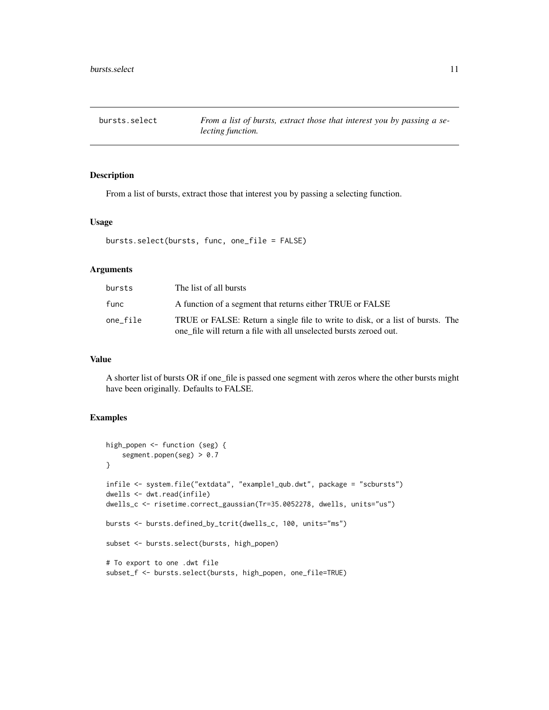<span id="page-10-0"></span>bursts.select *From a list of bursts, extract those that interest you by passing a selecting function.*

#### Description

From a list of bursts, extract those that interest you by passing a selecting function.

#### Usage

```
bursts.select(bursts, func, one_file = FALSE)
```
#### Arguments

| bursts   | The list of all bursts                                                                                                                               |
|----------|------------------------------------------------------------------------------------------------------------------------------------------------------|
| func     | A function of a segment that returns either TRUE or FALSE                                                                                            |
| one_file | TRUE or FALSE: Return a single file to write to disk, or a list of bursts. The<br>one file will return a file with all unselected bursts zeroed out. |

#### Value

A shorter list of bursts OR if one\_file is passed one segment with zeros where the other bursts might have been originally. Defaults to FALSE.

```
high_popen <- function (seg) {
    segment.popen(seg) > 0.7
}
infile <- system.file("extdata", "example1_qub.dwt", package = "scbursts")
dwells <- dwt.read(infile)
dwells_c <- risetime.correct_gaussian(Tr=35.0052278, dwells, units="us")
bursts <- bursts.defined_by_tcrit(dwells_c, 100, units="ms")
subset <- bursts.select(bursts, high_popen)
# To export to one .dwt file
subset_f <- bursts.select(bursts, high_popen, one_file=TRUE)
```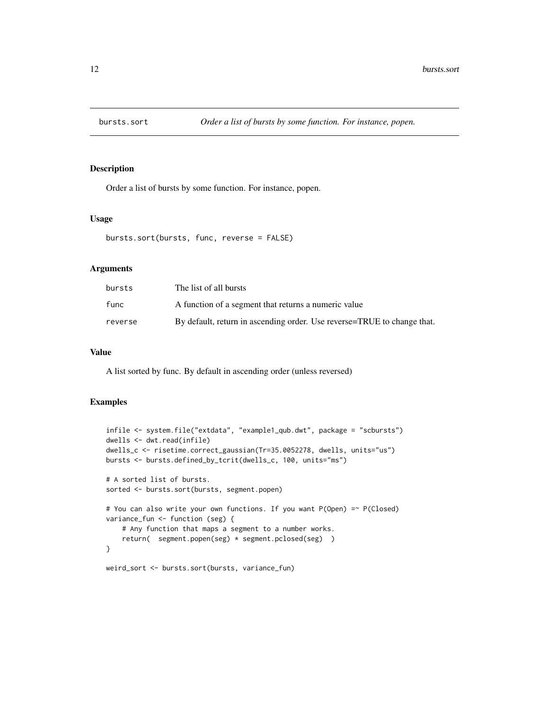<span id="page-11-0"></span>

Order a list of bursts by some function. For instance, popen.

#### Usage

```
bursts.sort(bursts, func, reverse = FALSE)
```
#### Arguments

| bursts  | The list of all bursts                                                  |
|---------|-------------------------------------------------------------------------|
| func    | A function of a segment that returns a numeric value                    |
| reverse | By default, return in ascending order. Use reverse=TRUE to change that. |

#### Value

A list sorted by func. By default in ascending order (unless reversed)

#### Examples

```
infile <- system.file("extdata", "example1_qub.dwt", package = "scbursts")
dwells <- dwt.read(infile)
dwells_c <- risetime.correct_gaussian(Tr=35.0052278, dwells, units="us")
bursts <- bursts.defined_by_tcrit(dwells_c, 100, units="ms")
# A sorted list of bursts.
sorted <- bursts.sort(bursts, segment.popen)
# You can also write your own functions. If you want P(Open) =~ P(Closed)
variance_fun <- function (seg) {
    # Any function that maps a segment to a number works.
    return( segment.popen(seg) * segment.pclosed(seg) )
}
```
weird\_sort <- bursts.sort(bursts, variance\_fun)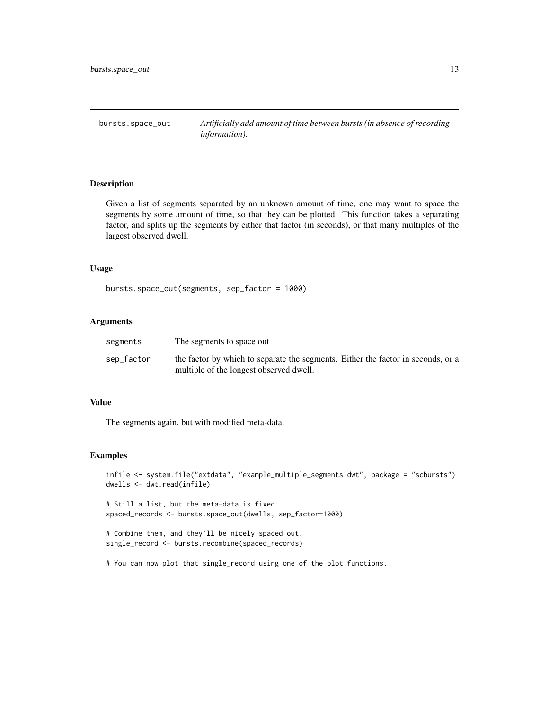<span id="page-12-0"></span>

Given a list of segments separated by an unknown amount of time, one may want to space the segments by some amount of time, so that they can be plotted. This function takes a separating factor, and splits up the segments by either that factor (in seconds), or that many multiples of the largest observed dwell.

#### Usage

```
bursts.space_out(segments, sep_factor = 1000)
```
#### Arguments

| segments   | The segments to space out                                                                                                   |
|------------|-----------------------------------------------------------------------------------------------------------------------------|
| sep_factor | the factor by which to separate the segments. Either the factor in seconds, or a<br>multiple of the longest observed dwell. |

#### Value

The segments again, but with modified meta-data.

#### Examples

```
infile <- system.file("extdata", "example_multiple_segments.dwt", package = "scbursts")
dwells <- dwt.read(infile)
# Still a list, but the meta-data is fixed
spaced_records <- bursts.space_out(dwells, sep_factor=1000)
# Combine them, and they'll be nicely spaced out.
single_record <- bursts.recombine(spaced_records)
```
# You can now plot that single\_record using one of the plot functions.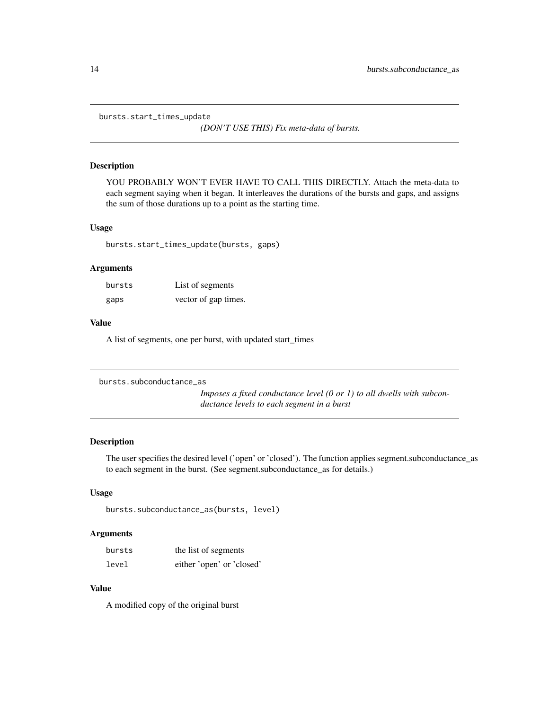<span id="page-13-0"></span>bursts.start\_times\_update

*(DON'T USE THIS) Fix meta-data of bursts.*

#### Description

YOU PROBABLY WON'T EVER HAVE TO CALL THIS DIRECTLY. Attach the meta-data to each segment saying when it began. It interleaves the durations of the bursts and gaps, and assigns the sum of those durations up to a point as the starting time.

#### Usage

bursts.start\_times\_update(bursts, gaps)

#### Arguments

| bursts | List of segments     |
|--------|----------------------|
| gaps   | vector of gap times. |

#### Value

A list of segments, one per burst, with updated start\_times

```
bursts.subconductance_as
```
*Imposes a fixed conductance level (0 or 1) to all dwells with subconductance levels to each segment in a burst*

#### Description

The user specifies the desired level ('open' or 'closed'). The function applies segment.subconductance\_as to each segment in the burst. (See segment.subconductance\_as for details.)

#### Usage

```
bursts.subconductance_as(bursts, level)
```
#### Arguments

| bursts | the list of segments      |
|--------|---------------------------|
| level  | either 'open' or 'closed' |

#### Value

A modified copy of the original burst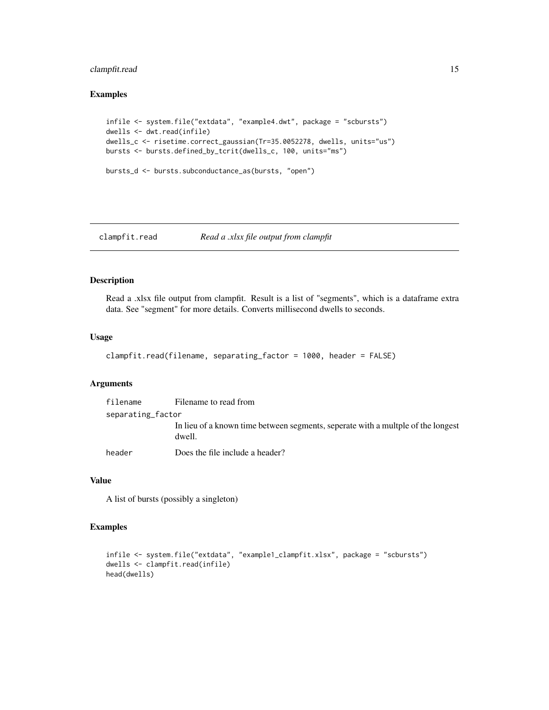#### <span id="page-14-0"></span>clampfit.read 15

#### Examples

```
infile <- system.file("extdata", "example4.dwt", package = "scbursts")
dwells <- dwt.read(infile)
dwells_c <- risetime.correct_gaussian(Tr=35.0052278, dwells, units="us")
bursts <- bursts.defined_by_tcrit(dwells_c, 100, units="ms")
```

```
bursts_d <- bursts.subconductance_as(bursts, "open")
```
### clampfit.read *Read a .xlsx file output from clampfit*

#### Description

Read a .xlsx file output from clampfit. Result is a list of "segments", which is a dataframe extra data. See "segment" for more details. Converts millisecond dwells to seconds.

#### Usage

```
clampfit.read(filename, separating_factor = 1000, header = FALSE)
```
#### Arguments

| filename          | Filename to read from                                                                      |
|-------------------|--------------------------------------------------------------------------------------------|
| separating factor |                                                                                            |
|                   | In lieu of a known time between segments, seperate with a multple of the longest<br>dwell. |
| header            | Does the file include a header?                                                            |

#### Value

A list of bursts (possibly a singleton)

```
infile <- system.file("extdata", "example1_clampfit.xlsx", package = "scbursts")
dwells <- clampfit.read(infile)
head(dwells)
```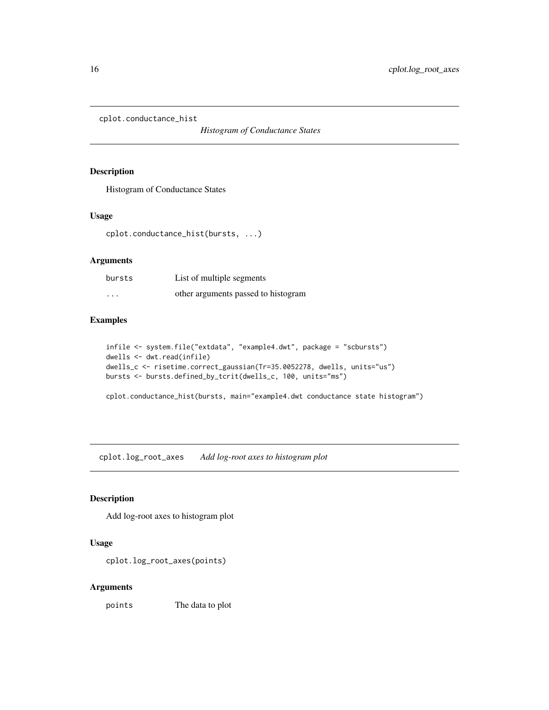<span id="page-15-0"></span>cplot.conductance\_hist

*Histogram of Conductance States*

#### Description

Histogram of Conductance States

#### Usage

cplot.conductance\_hist(bursts, ...)

#### Arguments

| bursts   | List of multiple segments           |
|----------|-------------------------------------|
| $\cdots$ | other arguments passed to histogram |

#### Examples

```
infile <- system.file("extdata", "example4.dwt", package = "scbursts")
dwells <- dwt.read(infile)
dwells_c <- risetime.correct_gaussian(Tr=35.0052278, dwells, units="us")
bursts <- bursts.defined_by_tcrit(dwells_c, 100, units="ms")
```
cplot.conductance\_hist(bursts, main="example4.dwt conductance state histogram")

cplot.log\_root\_axes *Add log-root axes to histogram plot*

#### Description

Add log-root axes to histogram plot

#### Usage

cplot.log\_root\_axes(points)

#### Arguments

points The data to plot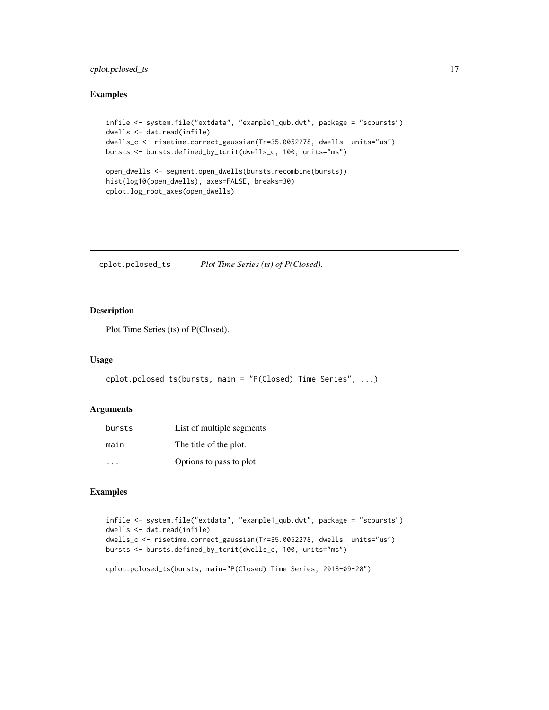#### <span id="page-16-0"></span>cplot.pclosed\_ts 17

#### Examples

```
infile <- system.file("extdata", "example1_qub.dwt", package = "scbursts")
dwells <- dwt.read(infile)
dwells_c <- risetime.correct_gaussian(Tr=35.0052278, dwells, units="us")
bursts <- bursts.defined_by_tcrit(dwells_c, 100, units="ms")
open_dwells <- segment.open_dwells(bursts.recombine(bursts))
hist(log10(open_dwells), axes=FALSE, breaks=30)
cplot.log_root_axes(open_dwells)
```
cplot.pclosed\_ts *Plot Time Series (ts) of P(Closed).*

#### Description

Plot Time Series (ts) of P(Closed).

#### Usage

```
cplot.pclosed_ts(bursts, main = "P(Closed) Time Series", ...)
```
#### Arguments

| bursts               | List of multiple segments |
|----------------------|---------------------------|
| main                 | The title of the plot.    |
| $\ddot{\phantom{0}}$ | Options to pass to plot   |

#### Examples

```
infile <- system.file("extdata", "example1_qub.dwt", package = "scbursts")
dwells <- dwt.read(infile)
dwells_c <- risetime.correct_gaussian(Tr=35.0052278, dwells, units="us")
bursts <- bursts.defined_by_tcrit(dwells_c, 100, units="ms")
```
cplot.pclosed\_ts(bursts, main="P(Closed) Time Series, 2018-09-20")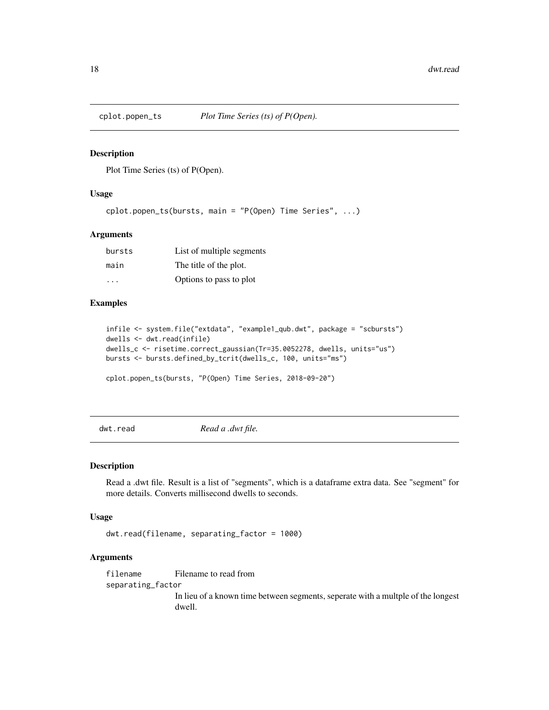<span id="page-17-0"></span>

Plot Time Series (ts) of P(Open).

#### Usage

```
cplot.popen_ts(bursts, main = "P(Open) Time Series", ...)
```
#### Arguments

| bursts | List of multiple segments |
|--------|---------------------------|
| main   | The title of the plot.    |
|        | Options to pass to plot   |

#### Examples

```
infile <- system.file("extdata", "example1_qub.dwt", package = "scbursts")
dwells <- dwt.read(infile)
dwells_c <- risetime.correct_gaussian(Tr=35.0052278, dwells, units="us")
bursts <- bursts.defined_by_tcrit(dwells_c, 100, units="ms")
```

```
cplot.popen_ts(bursts, "P(Open) Time Series, 2018-09-20")
```
dwt.read *Read a .dwt file.*

#### Description

Read a .dwt file. Result is a list of "segments", which is a dataframe extra data. See "segment" for more details. Converts millisecond dwells to seconds.

#### Usage

dwt.read(filename, separating\_factor = 1000)

#### Arguments

filename Filename to read from separating\_factor In lieu of a known time between segments, seperate with a multple of the longest dwell.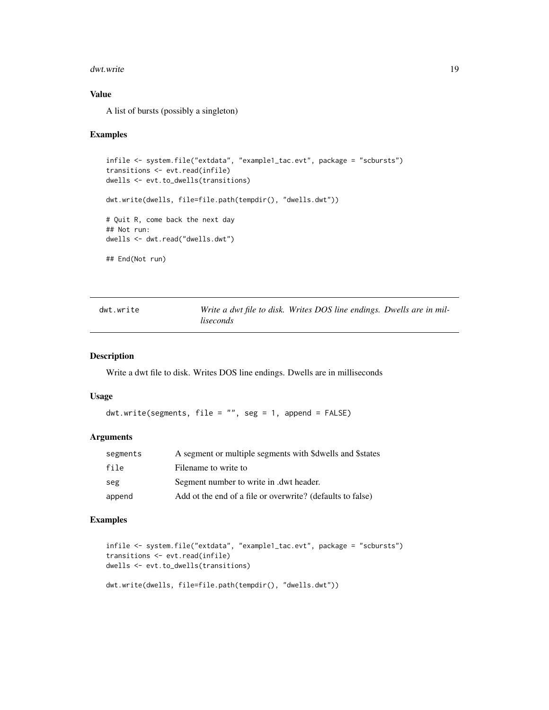#### <span id="page-18-0"></span>dwt.write 19

#### Value

A list of bursts (possibly a singleton)

#### Examples

```
infile <- system.file("extdata", "example1_tac.evt", package = "scbursts")
transitions <- evt.read(infile)
dwells <- evt.to_dwells(transitions)
dwt.write(dwells, file=file.path(tempdir(), "dwells.dwt"))
# Quit R, come back the next day
## Not run:
dwells <- dwt.read("dwells.dwt")
## End(Not run)
```

| dwt.write |           | Write a dwt file to disk. Writes DOS line endings. Dwells are in mil- |  |
|-----------|-----------|-----------------------------------------------------------------------|--|
|           | liseconds |                                                                       |  |

#### Description

Write a dwt file to disk. Writes DOS line endings. Dwells are in milliseconds

#### Usage

dwt.write(segments, file = "", seg = 1, append = FALSE)

#### Arguments

| segments | A segment or multiple segments with \$dwells and \$states  |
|----------|------------------------------------------------------------|
| file     | Filename to write to                                       |
| seg      | Segment number to write in .dwt header.                    |
| append   | Add ot the end of a file or overwrite? (defaults to false) |

```
infile <- system.file("extdata", "example1_tac.evt", package = "scbursts")
transitions <- evt.read(infile)
dwells <- evt.to_dwells(transitions)
dwt.write(dwells, file=file.path(tempdir(), "dwells.dwt"))
```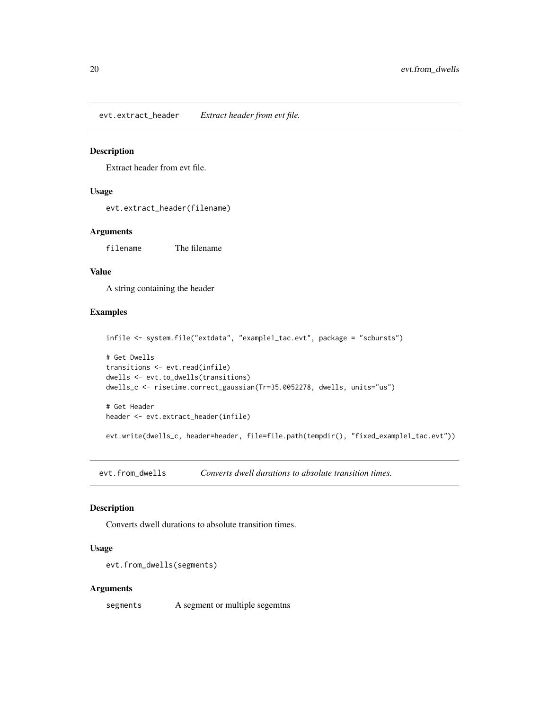<span id="page-19-0"></span>evt.extract\_header *Extract header from evt file.*

#### Description

Extract header from evt file.

#### Usage

evt.extract\_header(filename)

#### Arguments

filename The filename

#### Value

A string containing the header

#### Examples

```
infile <- system.file("extdata", "example1_tac.evt", package = "scbursts")
# Get Dwells
transitions <- evt.read(infile)
dwells <- evt.to_dwells(transitions)
dwells_c <- risetime.correct_gaussian(Tr=35.0052278, dwells, units="us")
# Get Header
header <- evt.extract_header(infile)
evt.write(dwells_c, header=header, file=file.path(tempdir(), "fixed_example1_tac.evt"))
```
evt.from\_dwells *Converts dwell durations to absolute transition times.*

#### Description

Converts dwell durations to absolute transition times.

#### Usage

```
evt.from_dwells(segments)
```
#### Arguments

segments A segment or multiple segemtns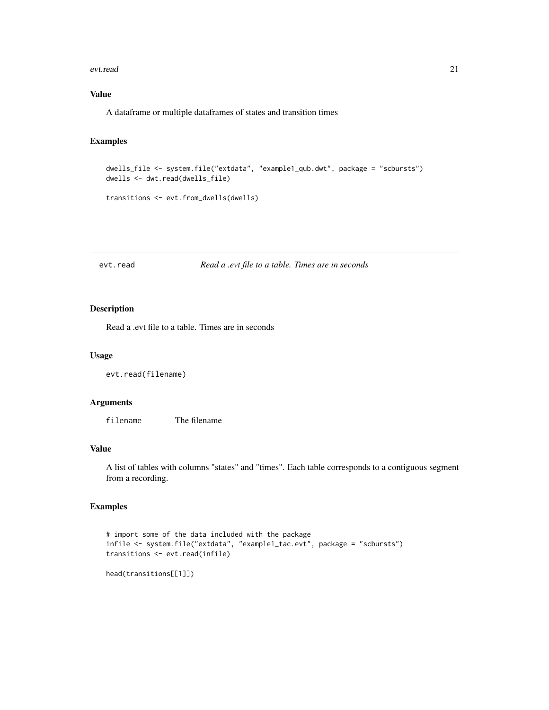#### <span id="page-20-0"></span>evt.read 21

#### Value

A dataframe or multiple dataframes of states and transition times

#### Examples

```
dwells_file <- system.file("extdata", "example1_qub.dwt", package = "scbursts")
dwells <- dwt.read(dwells_file)
transitions <- evt.from_dwells(dwells)
```
evt.read *Read a .evt file to a table. Times are in seconds*

#### Description

Read a .evt file to a table. Times are in seconds

#### Usage

```
evt.read(filename)
```
#### Arguments

filename The filename

#### Value

A list of tables with columns "states" and "times". Each table corresponds to a contiguous segment from a recording.

```
# import some of the data included with the package
infile <- system.file("extdata", "example1_tac.evt", package = "scbursts")
transitions <- evt.read(infile)
```

```
head(transitions[[1]])
```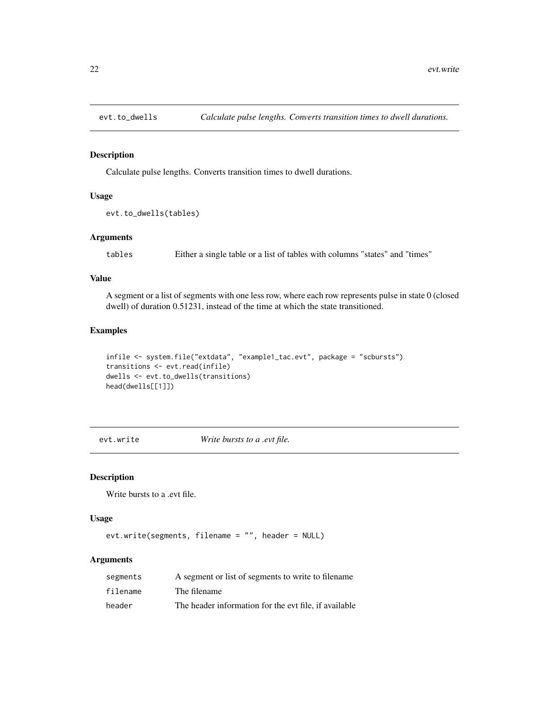<span id="page-21-0"></span>

Calculate pulse lengths. Converts transition times to dwell durations.

#### Usage

```
evt.to_dwells(tables)
```
#### Arguments

tables Either a single table or a list of tables with columns "states" and "times"

#### Value

A segment or a list of segments with one less row, where each row represents pulse in state 0 (closed dwell) of duration 0.51231, instead of the time at which the state transitioned.

#### Examples

```
infile <- system.file("extdata", "example1_tac.evt", package = "scbursts")
transitions <- evt.read(infile)
dwells <- evt.to_dwells(transitions)
head(dwells[[1]])
```
evt.write *Write bursts to a .evt file.*

#### Description

Write bursts to a .evt file.

#### Usage

evt.write(segments, filename = "", header = NULL)

#### Arguments

| segments | A segment or list of segments to write to filename.   |
|----------|-------------------------------------------------------|
| filename | The filename                                          |
| header   | The header information for the evt file, if available |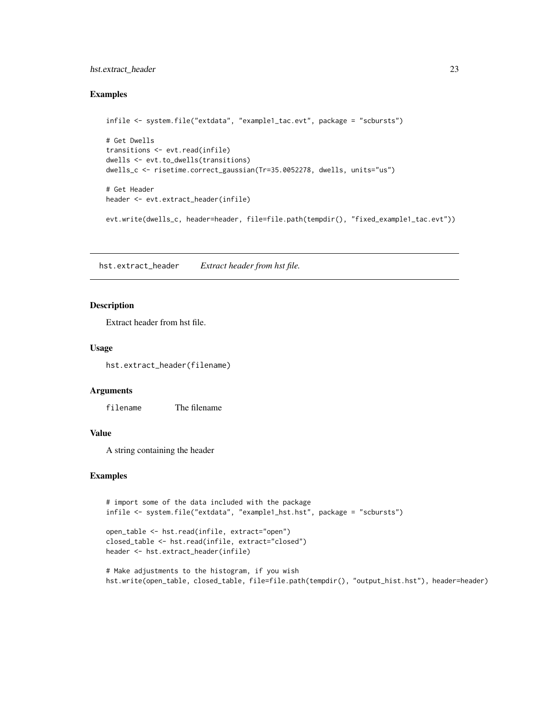#### <span id="page-22-0"></span>hst.extract\_header 23

#### Examples

```
infile <- system.file("extdata", "example1_tac.evt", package = "scbursts")
# Get Dwells
transitions <- evt.read(infile)
dwells <- evt.to_dwells(transitions)
dwells_c <- risetime.correct_gaussian(Tr=35.0052278, dwells, units="us")
# Get Header
header <- evt.extract_header(infile)
evt.write(dwells_c, header=header, file=file.path(tempdir(), "fixed_example1_tac.evt"))
```
hst.extract\_header *Extract header from hst file.*

#### Description

Extract header from hst file.

#### Usage

hst.extract\_header(filename)

#### Arguments

filename The filename

#### Value

A string containing the header

```
# import some of the data included with the package
infile <- system.file("extdata", "example1_hst.hst", package = "scbursts")
```

```
open_table <- hst.read(infile, extract="open")
closed_table <- hst.read(infile, extract="closed")
header <- hst.extract_header(infile)
```

```
# Make adjustments to the histogram, if you wish
hst.write(open_table, closed_table, file=file.path(tempdir(), "output_hist.hst"), header=header)
```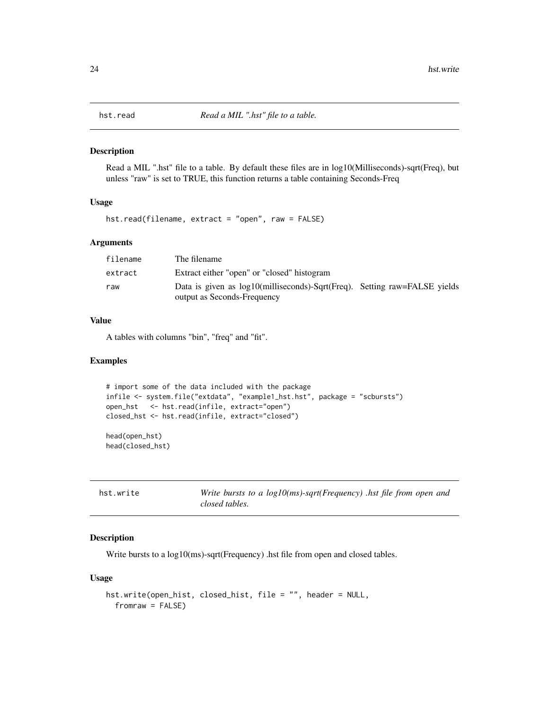<span id="page-23-0"></span>

Read a MIL ".hst" file to a table. By default these files are in log10(Milliseconds)-sqrt(Freq), but unless "raw" is set to TRUE, this function returns a table containing Seconds-Freq

#### Usage

hst.read(filename, extract = "open", raw = FALSE)

#### Arguments

| filename | The filename                                                                                             |  |
|----------|----------------------------------------------------------------------------------------------------------|--|
| extract  | Extract either "open" or "closed" histogram                                                              |  |
| raw      | Data is given as log10(milliseconds)-Sqrt(Freq). Setting raw=FALSE yields<br>output as Seconds-Frequency |  |

#### Value

A tables with columns "bin", "freq" and "fit".

#### Examples

```
# import some of the data included with the package
infile <- system.file("extdata", "example1_hst.hst", package = "scbursts")
open_hst <- hst.read(infile, extract="open")
closed_hst <- hst.read(infile, extract="closed")
head(open_hst)
```

```
head(closed_hst)
```

| hst.write | Write bursts to a $log10(ms)$ -sqrt(Frequency) .hst file from open and |
|-----------|------------------------------------------------------------------------|
|           | closed tables.                                                         |

#### Description

Write bursts to a log10(ms)-sqrt(Frequency) .hst file from open and closed tables.

#### Usage

```
hst.write(open_hist, closed_hist, file = "", header = NULL,
  fromraw = FALSE)
```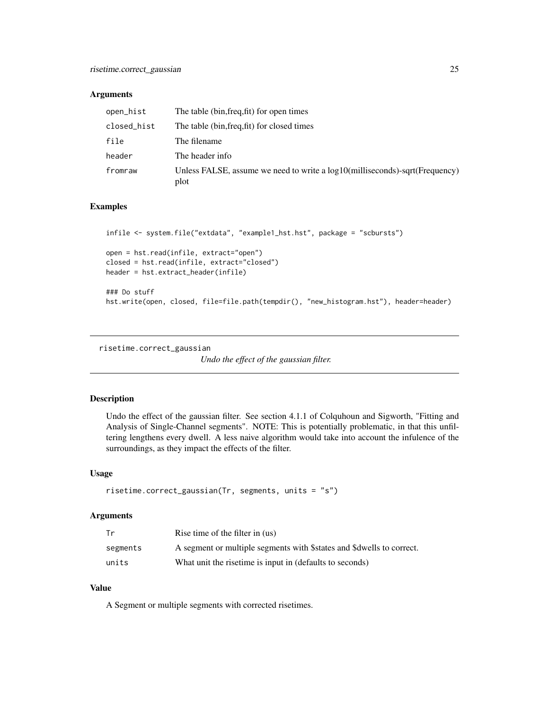#### <span id="page-24-0"></span>**Arguments**

| open_hist   | The table (bin, freq, fit) for open times                                              |
|-------------|----------------------------------------------------------------------------------------|
| closed_hist | The table (bin, freq, fit) for closed times                                            |
| file        | The filename                                                                           |
| header      | The header info                                                                        |
| fromraw     | Unless FALSE, assume we need to write a $log10$ (milliseconds)-sqrt(Frequency)<br>plot |

#### Examples

```
infile <- system.file("extdata", "example1_hst.hst", package = "scbursts")
open = hst.read(infile, extract="open")
closed = hst.read(infile, extract="closed")
header = hst.extract_header(infile)
### Do stuff
```

```
hst.write(open, closed, file=file.path(tempdir(), "new_histogram.hst"), header=header)
```
risetime.correct\_gaussian

*Undo the effect of the gaussian filter.*

#### Description

Undo the effect of the gaussian filter. See section 4.1.1 of Colquhoun and Sigworth, "Fitting and Analysis of Single-Channel segments". NOTE: This is potentially problematic, in that this unfiltering lengthens every dwell. A less naive algorithm would take into account the infulence of the surroundings, as they impact the effects of the filter.

#### Usage

```
risetime.correct_gaussian(Tr, segments, units = "s")
```
#### Arguments

| Tr       | Rise time of the filter in (us)                                       |
|----------|-----------------------------------------------------------------------|
| segments | A segment or multiple segments with \$states and \$dwells to correct. |
| units    | What unit the risetime is input in (defaults to seconds)              |

#### Value

A Segment or multiple segments with corrected risetimes.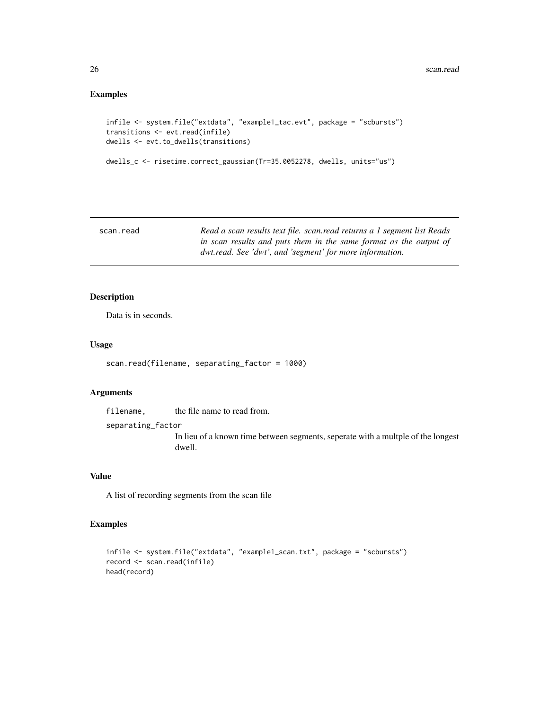#### Examples

```
infile <- system.file("extdata", "example1_tac.evt", package = "scbursts")
transitions <- evt.read(infile)
dwells <- evt.to_dwells(transitions)
```

```
dwells_c <- risetime.correct_gaussian(Tr=35.0052278, dwells, units="us")
```

| scan.read | Read a scan results text file. scan.read returns a 1 segment list Reads |
|-----------|-------------------------------------------------------------------------|
|           | in scan results and puts them in the same format as the output of       |
|           | dwt.read. See 'dwt', and 'segment' for more information.                |

#### Description

Data is in seconds.

#### Usage

scan.read(filename, separating\_factor = 1000)

#### Arguments

filename, the file name to read from. separating\_factor In lieu of a known time between segments, seperate with a multple of the longest dwell.

#### Value

A list of recording segments from the scan file

```
infile <- system.file("extdata", "example1_scan.txt", package = "scbursts")
record <- scan.read(infile)
head(record)
```
<span id="page-25-0"></span>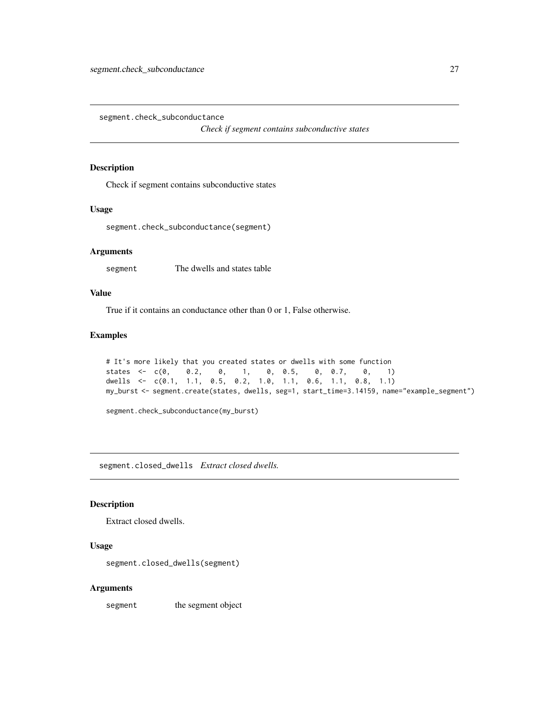<span id="page-26-0"></span>segment.check\_subconductance

*Check if segment contains subconductive states*

#### Description

Check if segment contains subconductive states

#### Usage

segment.check\_subconductance(segment)

#### Arguments

segment The dwells and states table

#### Value

True if it contains an conductance other than 0 or 1, False otherwise.

#### Examples

```
# It's more likely that you created states or dwells with some function
states \leq -c(0, 0.2, 0, 1, 0, 0.5, 0, 0.7, 0, 1)dwells <- c(0.1, 1.1, 0.5, 0.2, 1.0, 1.1, 0.6, 1.1, 0.8, 1.1)
my_burst <- segment.create(states, dwells, seg=1, start_time=3.14159, name="example_segment")
```
segment.check\_subconductance(my\_burst)

segment.closed\_dwells *Extract closed dwells.*

#### Description

Extract closed dwells.

#### Usage

segment.closed\_dwells(segment)

#### Arguments

segment the segment object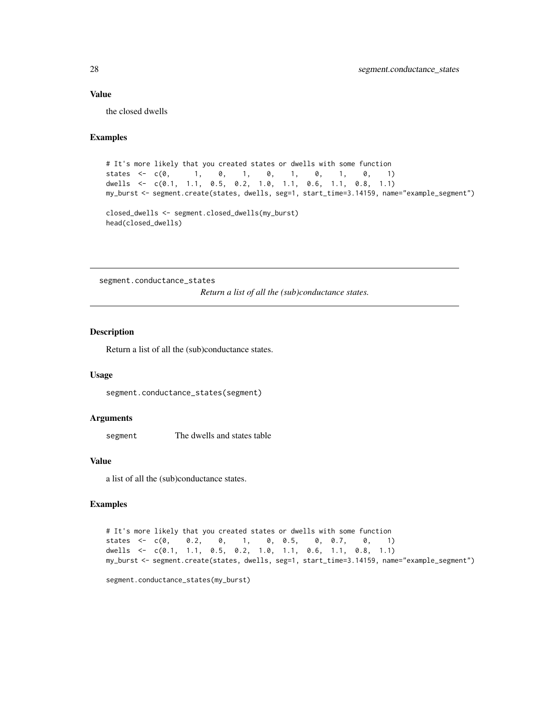#### Value

the closed dwells

#### Examples

```
# It's more likely that you created states or dwells with some function
states <- c(\emptyset, 1, \emptyset, 1, \emptyset, 1, \emptyset, 1, \emptyset, 1)dwells <- c(0.1, 1.1, 0.5, 0.2, 1.0, 1.1, 0.6, 1.1, 0.8, 1.1)
my_burst <- segment.create(states, dwells, seg=1, start_time=3.14159, name="example_segment")
closed_dwells <- segment.closed_dwells(my_burst)
head(closed_dwells)
```
segment.conductance\_states

*Return a list of all the (sub)conductance states.*

#### Description

Return a list of all the (sub)conductance states.

#### Usage

```
segment.conductance_states(segment)
```
#### **Arguments**

segment The dwells and states table

#### Value

a list of all the (sub)conductance states.

#### Examples

```
# It's more likely that you created states or dwells with some function
states <- c(0, 0.2, 0, 1, 0, 0.5, 0, 0.7, 0, 1)
dwells <- c(0.1, 1.1, 0.5, 0.2, 1.0, 1.1, 0.6, 1.1, 0.8, 1.1)
my_burst <- segment.create(states, dwells, seg=1, start_time=3.14159, name="example_segment")
```
segment.conductance\_states(my\_burst)

<span id="page-27-0"></span>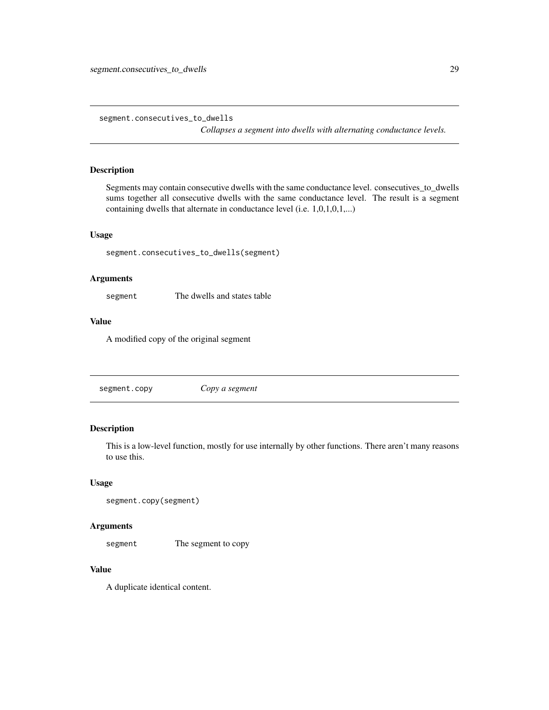<span id="page-28-0"></span>segment.consecutives\_to\_dwells

*Collapses a segment into dwells with alternating conductance levels.*

#### Description

Segments may contain consecutive dwells with the same conductance level. consecutives\_to\_dwells sums together all consecutive dwells with the same conductance level. The result is a segment containing dwells that alternate in conductance level (i.e. 1,0,1,0,1,...)

#### Usage

segment.consecutives\_to\_dwells(segment)

#### Arguments

segment The dwells and states table

#### Value

A modified copy of the original segment

segment.copy *Copy a segment*

#### Description

This is a low-level function, mostly for use internally by other functions. There aren't many reasons to use this.

#### Usage

```
segment.copy(segment)
```
#### Arguments

segment The segment to copy

#### Value

A duplicate identical content.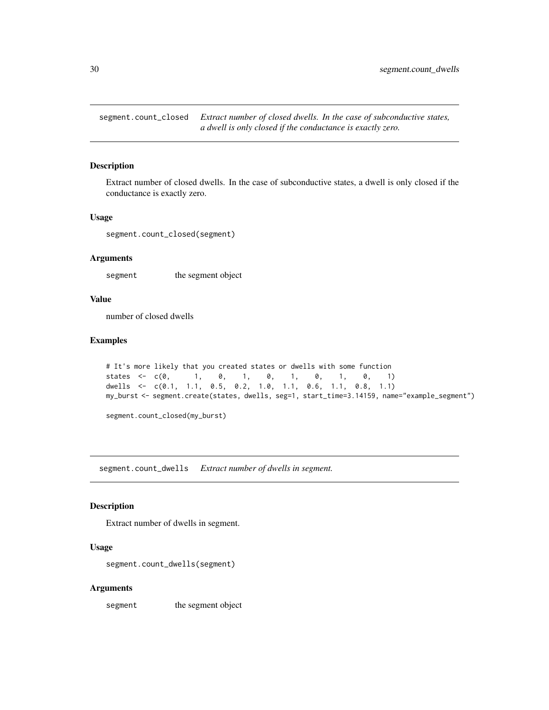<span id="page-29-0"></span>segment.count\_closed *Extract number of closed dwells. In the case of subconductive states, a dwell is only closed if the conductance is exactly zero.*

#### Description

Extract number of closed dwells. In the case of subconductive states, a dwell is only closed if the conductance is exactly zero.

#### Usage

segment.count\_closed(segment)

#### **Arguments**

segment the segment object

#### Value

number of closed dwells

#### Examples

```
# It's more likely that you created states or dwells with some function
states \leq -c(0, 1, 0, 1, 0, 1, 0, 1, 0, 1)dwells <- c(0.1, 1.1, 0.5, 0.2, 1.0, 1.1, 0.6, 1.1, 0.8, 1.1)
my_burst <- segment.create(states, dwells, seg=1, start_time=3.14159, name="example_segment")
```
segment.count\_closed(my\_burst)

segment.count\_dwells *Extract number of dwells in segment.*

#### Description

Extract number of dwells in segment.

#### Usage

segment.count\_dwells(segment)

#### Arguments

segment the segment object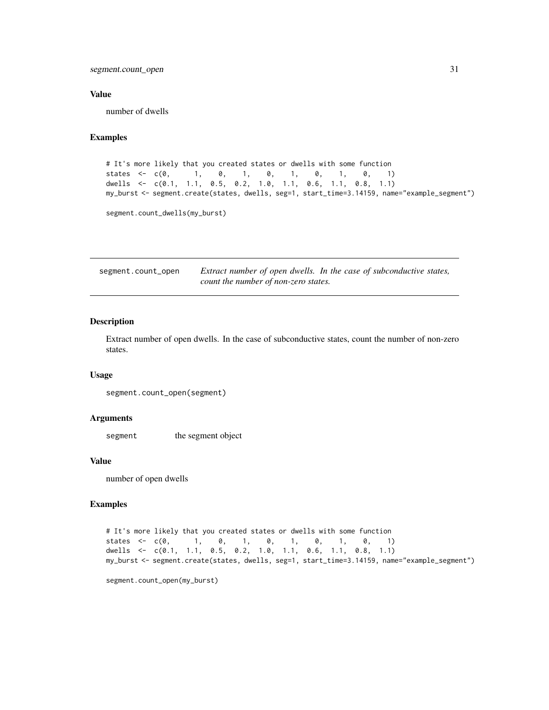<span id="page-30-0"></span>segment.count\_open 31

#### Value

number of dwells

#### Examples

```
# It's more likely that you created states or dwells with some function
states <- c(\emptyset, 1, \emptyset, 1, \emptyset, 1, \emptyset, 1, \emptyset, 1)dwells <- c(0.1, 1.1, 0.5, 0.2, 1.0, 1.1, 0.6, 1.1, 0.8, 1.1)
my_burst <- segment.create(states, dwells, seg=1, start_time=3.14159, name="example_segment")
```
segment.count\_dwells(my\_burst)

segment.count\_open *Extract number of open dwells. In the case of subconductive states, count the number of non-zero states.*

#### Description

Extract number of open dwells. In the case of subconductive states, count the number of non-zero states.

#### Usage

```
segment.count_open(segment)
```
#### Arguments

segment the segment object

#### Value

number of open dwells

#### Examples

```
# It's more likely that you created states or dwells with some function
states <- c(0, 1, 0, 1, 0, 1, 0, 1, 0, 1)
dwells <- c(0.1, 1.1, 0.5, 0.2, 1.0, 1.1, 0.6, 1.1, 0.8, 1.1)
my_burst <- segment.create(states, dwells, seg=1, start_time=3.14159, name="example_segment")
```
segment.count\_open(my\_burst)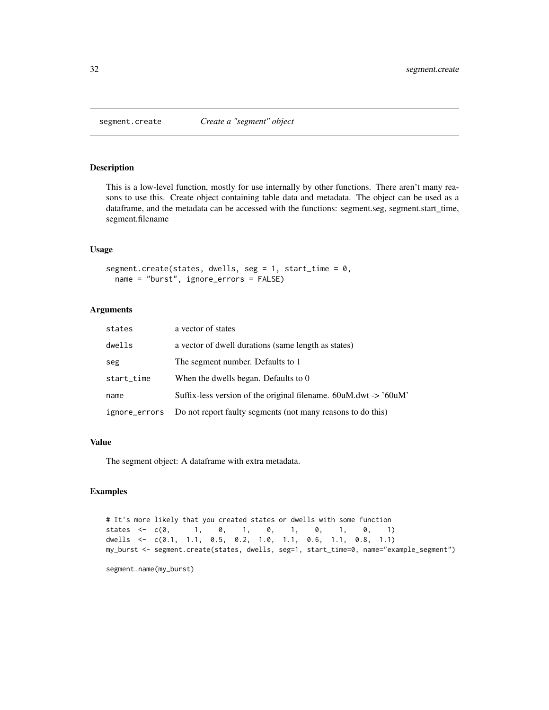<span id="page-31-0"></span>

This is a low-level function, mostly for use internally by other functions. There aren't many reasons to use this. Create object containing table data and metadata. The object can be used as a dataframe, and the metadata can be accessed with the functions: segment.seg, segment.start\_time, segment.filename

#### Usage

segment.create(states, dwells, seg = 1, start\_time = 0, name = "burst", ignore\_errors = FALSE)

#### Arguments

| states        | a vector of states                                                         |
|---------------|----------------------------------------------------------------------------|
| dwells        | a vector of dwell durations (same length as states)                        |
| seg           | The segment number. Defaults to 1                                          |
| start_time    | When the dwells began. Defaults to 0                                       |
| name          | Suffix-less version of the original filename. $60uM. dwt \rightarrow 60uM$ |
| ignore_errors | Do not report faulty segments (not many reasons to do this)                |

#### Value

The segment object: A dataframe with extra metadata.

#### Examples

```
# It's more likely that you created states or dwells with some function
states <- c(0, 1, 0, 1, 0, 1, 0, 1, 0, 1)
dwells <- c(0.1, 1.1, 0.5, 0.2, 1.0, 1.1, 0.6, 1.1, 0.8, 1.1)
my_burst <- segment.create(states, dwells, seg=1, start_time=0, name="example_segment")
```
segment.name(my\_burst)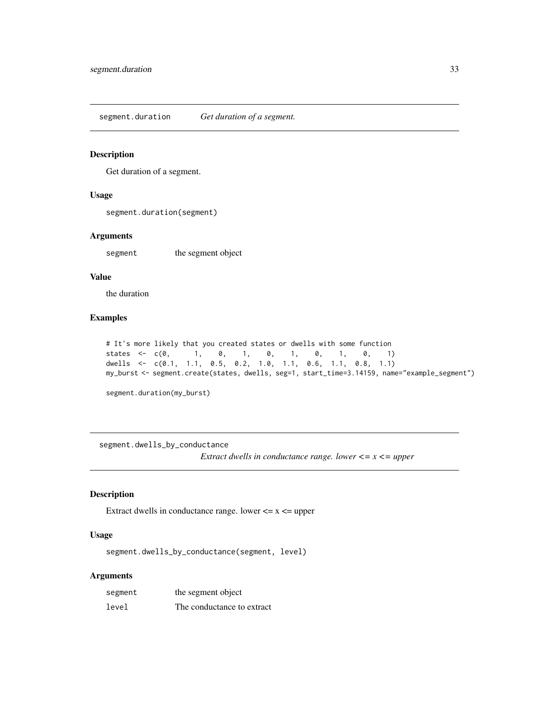<span id="page-32-0"></span>segment.duration *Get duration of a segment.*

#### Description

Get duration of a segment.

#### Usage

segment.duration(segment)

#### Arguments

segment the segment object

#### Value

the duration

#### Examples

```
# It's more likely that you created states or dwells with some function
states <- c(0, 1, 0, 1, 0, 1, 0, 1, 0, 1)
dwells <- c(0.1, 1.1, 0.5, 0.2, 1.0, 1.1, 0.6, 1.1, 0.8, 1.1)
my_burst <- segment.create(states, dwells, seg=1, start_time=3.14159, name="example_segment")
```
segment.duration(my\_burst)

segment.dwells\_by\_conductance *Extract dwells in conductance range. lower <= x <= upper*

#### Description

Extract dwells in conductance range. lower  $\leq x \leq$  upper

#### Usage

segment.dwells\_by\_conductance(segment, level)

#### Arguments

| segment | the segment object         |
|---------|----------------------------|
| level   | The conductance to extract |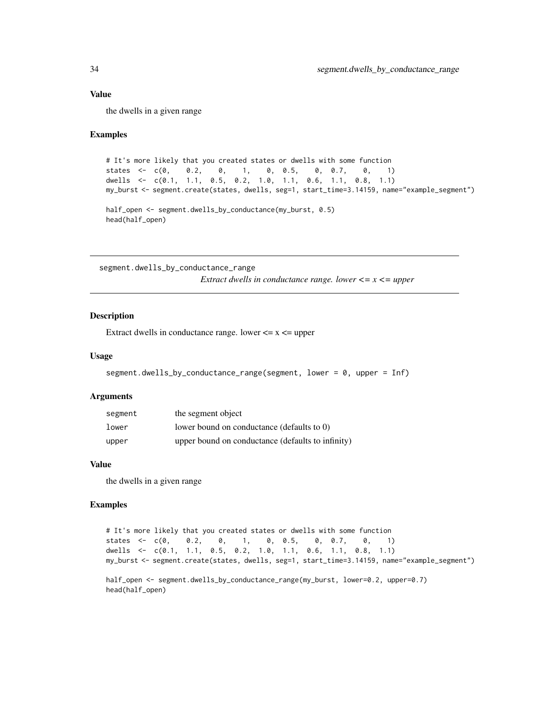#### <span id="page-33-0"></span>Value

the dwells in a given range

#### Examples

```
# It's more likely that you created states or dwells with some function
states <- c(0, 0.2, 0, 1, 0, 0.5, 0, 0.7, 0, 1)
dwells <- c(0.1, 1.1, 0.5, 0.2, 1.0, 1.1, 0.6, 1.1, 0.8, 1.1)
my_burst <- segment.create(states, dwells, seg=1, start_time=3.14159, name="example_segment")
half_open <- segment.dwells_by_conductance(my_burst, 0.5)
head(half_open)
```
segment.dwells\_by\_conductance\_range *Extract dwells in conductance range. lower <= x <= upper*

#### Description

Extract dwells in conductance range. lower  $\leq x \leq$  upper

#### Usage

```
segment.dwells_by_conductance_range(segment, lower = 0, upper = Inf)
```
#### Arguments

| segment | the segment object                                |
|---------|---------------------------------------------------|
| lower   | lower bound on conductance (defaults to 0)        |
| upper   | upper bound on conductance (defaults to infinity) |

#### Value

the dwells in a given range

#### Examples

# It's more likely that you created states or dwells with some function states <- c(0, 0.2, 0, 1, 0, 0.5, 0, 0.7, 0, 1) dwells <- c(0.1, 1.1, 0.5, 0.2, 1.0, 1.1, 0.6, 1.1, 0.8, 1.1) my\_burst <- segment.create(states, dwells, seg=1, start\_time=3.14159, name="example\_segment") half\_open <- segment.dwells\_by\_conductance\_range(my\_burst, lower=0.2, upper=0.7)

```
head(half_open)
```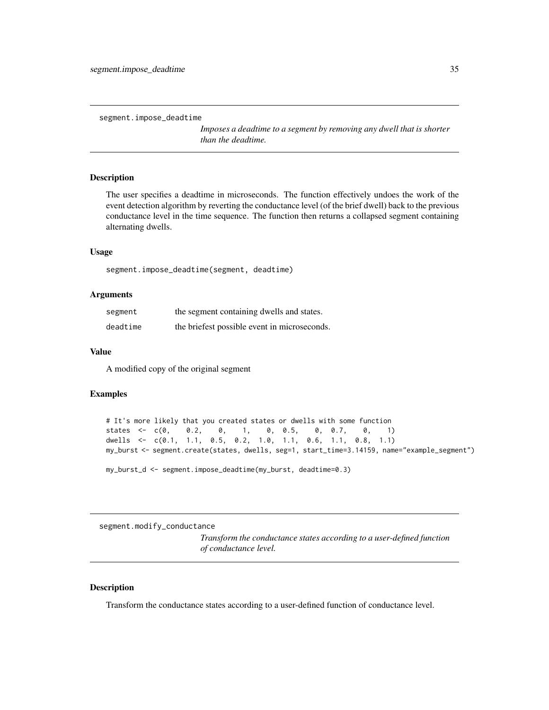<span id="page-34-0"></span>segment.impose\_deadtime

*Imposes a deadtime to a segment by removing any dwell that is shorter than the deadtime.*

#### **Description**

The user specifies a deadtime in microseconds. The function effectively undoes the work of the event detection algorithm by reverting the conductance level (of the brief dwell) back to the previous conductance level in the time sequence. The function then returns a collapsed segment containing alternating dwells.

#### Usage

segment.impose\_deadtime(segment, deadtime)

#### **Arguments**

| segment  | the segment containing dwells and states.    |
|----------|----------------------------------------------|
| deadtime | the briefest possible event in microseconds. |

#### Value

A modified copy of the original segment

#### Examples

```
# It's more likely that you created states or dwells with some function
states <- c(0, 0.2, 0, 1, 0, 0.5, 0, 0.7, 0, 1)
dwells <- c(0.1, 1.1, 0.5, 0.2, 1.0, 1.1, 0.6, 1.1, 0.8, 1.1)
my_burst <- segment.create(states, dwells, seg=1, start_time=3.14159, name="example_segment")
```
my\_burst\_d <- segment.impose\_deadtime(my\_burst, deadtime=0.3)

segment.modify\_conductance

*Transform the conductance states according to a user-defined function of conductance level.*

#### Description

Transform the conductance states according to a user-defined function of conductance level.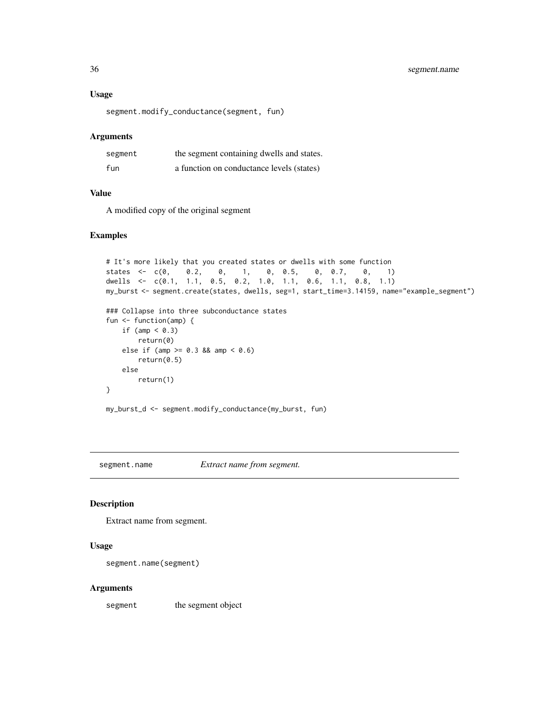#### Usage

segment.modify\_conductance(segment, fun)

#### Arguments

| segment | the segment containing dwells and states. |
|---------|-------------------------------------------|
| fun     | a function on conductance levels (states) |

#### Value

A modified copy of the original segment

#### Examples

```
# It's more likely that you created states or dwells with some function
states <- c(0, 0.2, 0, 1, 0, 0.5, 0, 0.7, 0, 1)
dwells <- c(0.1, 1.1, 0.5, 0.2, 1.0, 1.1, 0.6, 1.1, 0.8, 1.1)
my_burst <- segment.create(states, dwells, seg=1, start_time=3.14159, name="example_segment")
### Collapse into three subconductance states
fun <- function(amp) {
   if (amp < 0.3)
       return(0)
   else if (amp > = 0.3 && amp < 0.6)
       return(0.5)
   else
       return(1)
}
my_burst_d <- segment.modify_conductance(my_burst, fun)
```
segment.name *Extract name from segment.*

#### Description

Extract name from segment.

#### Usage

```
segment.name(segment)
```
#### Arguments

segment the segment object

<span id="page-35-0"></span>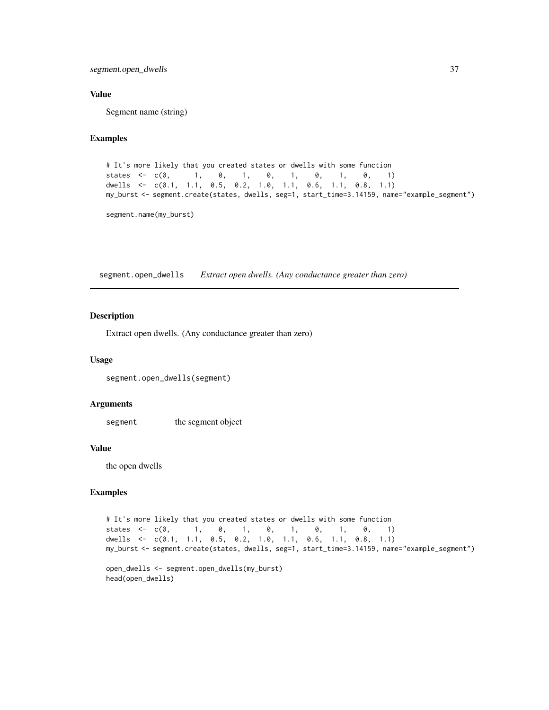#### <span id="page-36-0"></span>Value

Segment name (string)

#### Examples

```
# It's more likely that you created states or dwells with some function
states <- c(0, 1, 0, 1, 0, 1, 0, 1, 0, 1)
dwells <- c(0.1, 1.1, 0.5, 0.2, 1.0, 1.1, 0.6, 1.1, 0.8, 1.1)
my_burst <- segment.create(states, dwells, seg=1, start_time=3.14159, name="example_segment")
```
segment.name(my\_burst)

segment.open\_dwells *Extract open dwells. (Any conductance greater than zero)*

#### Description

Extract open dwells. (Any conductance greater than zero)

#### Usage

```
segment.open_dwells(segment)
```
#### Arguments

segment the segment object

#### Value

the open dwells

```
# It's more likely that you created states or dwells with some function
states <- c(\emptyset, 1, \emptyset, 1, \emptyset, 1, \emptyset, 1, \emptyset, 1)dwells <- c(0.1, 1.1, 0.5, 0.2, 1.0, 1.1, 0.6, 1.1, 0.8, 1.1)
my_burst <- segment.create(states, dwells, seg=1, start_time=3.14159, name="example_segment")
```

```
open_dwells <- segment.open_dwells(my_burst)
head(open_dwells)
```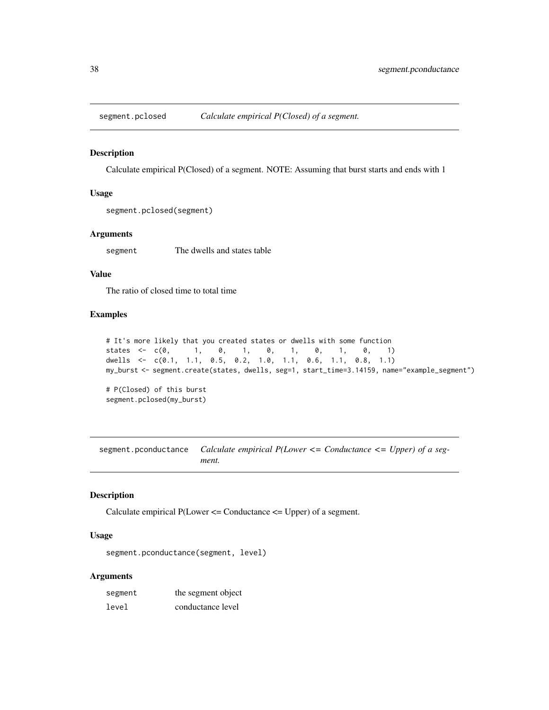<span id="page-37-0"></span>

Calculate empirical P(Closed) of a segment. NOTE: Assuming that burst starts and ends with 1

#### Usage

```
segment.pclosed(segment)
```
#### Arguments

segment The dwells and states table

#### Value

The ratio of closed time to total time

#### Examples

```
# It's more likely that you created states or dwells with some function
states <- c(\emptyset, 1, \emptyset, 1, \emptyset, 1, \emptyset, 1, \emptyset, 1)dwells <- c(0.1, 1.1, 0.5, 0.2, 1.0, 1.1, 0.6, 1.1, 0.8, 1.1)
my_burst <- segment.create(states, dwells, seg=1, start_time=3.14159, name="example_segment")
# P(Closed) of this burst
```

```
segment.pclosed(my_burst)
```
segment.pconductance *Calculate empirical P(Lower <= Conductance <= Upper) of a segment.*

#### Description

Calculate empirical P(Lower <= Conductance <= Upper) of a segment.

#### Usage

segment.pconductance(segment, level)

#### Arguments

| segment | the segment object |
|---------|--------------------|
| level   | conductance level  |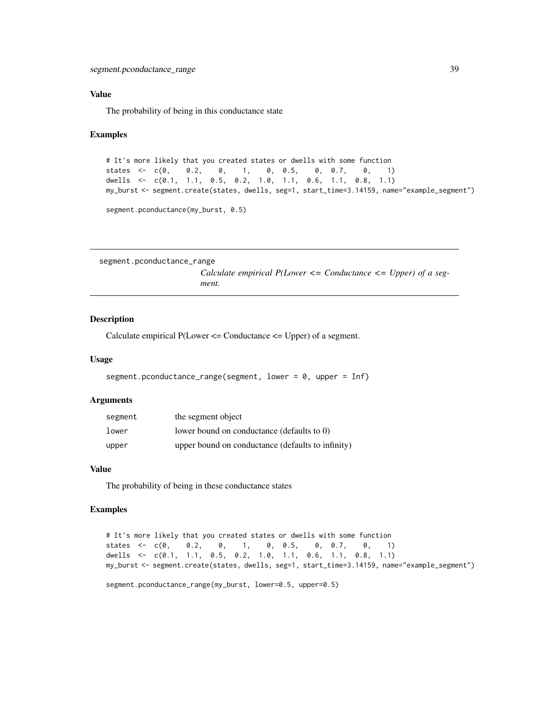#### <span id="page-38-0"></span>Value

The probability of being in this conductance state

#### Examples

```
# It's more likely that you created states or dwells with some function
states \leq -c(0, 0.2, 0, 1, 0, 0.5, 0, 0.7, 0, 1)dwells <- c(0.1, 1.1, 0.5, 0.2, 1.0, 1.1, 0.6, 1.1, 0.8, 1.1)
my_burst <- segment.create(states, dwells, seg=1, start_time=3.14159, name="example_segment")
segment.pconductance(my_burst, 0.5)
```

```
segment.pconductance_range
```
*Calculate empirical P(Lower <= Conductance <= Upper) of a segment.*

#### **Description**

Calculate empirical  $P$ (Lower  $\leq$  Conductance  $\leq$  Upper) of a segment.

#### Usage

```
segment.pconductance_range(segment, lower = 0, upper = Inf)
```
#### Arguments

| segment | the segment object                                |
|---------|---------------------------------------------------|
| lower   | lower bound on conductance (defaults to 0)        |
| upper   | upper bound on conductance (defaults to infinity) |

#### Value

The probability of being in these conductance states

```
# It's more likely that you created states or dwells with some function
states <- c(0, 0.2, 0, 1, 0, 0.5, 0, 0.7, 0, 1)
dwells <- c(0.1, 1.1, 0.5, 0.2, 1.0, 1.1, 0.6, 1.1, 0.8, 1.1)
my_burst <- segment.create(states, dwells, seg=1, start_time=3.14159, name="example_segment")
```

```
segment.pconductance_range(my_burst, lower=0.5, upper=0.5)
```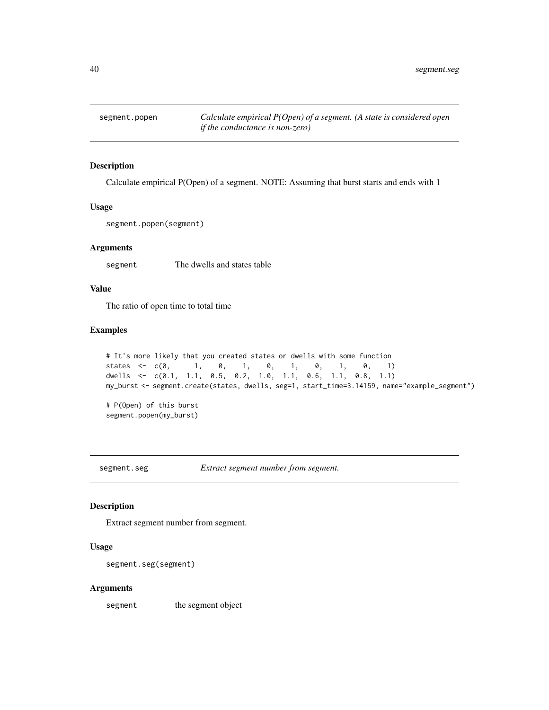<span id="page-39-0"></span>

Calculate empirical P(Open) of a segment. NOTE: Assuming that burst starts and ends with 1

#### Usage

segment.popen(segment)

#### Arguments

segment The dwells and states table

#### Value

The ratio of open time to total time

#### Examples

```
# It's more likely that you created states or dwells with some function
states \leq c(0, 1, 0, 1, 0, 1, 0, 1, 0, 1)dwells <- c(0.1, 1.1, 0.5, 0.2, 1.0, 1.1, 0.6, 1.1, 0.8, 1.1)
my_burst <- segment.create(states, dwells, seg=1, start_time=3.14159, name="example_segment")
# P(Open) of this burst
```

```
segment.popen(my_burst)
```
segment.seg *Extract segment number from segment.*

#### Description

Extract segment number from segment.

#### Usage

```
segment.seg(segment)
```
#### Arguments

segment the segment object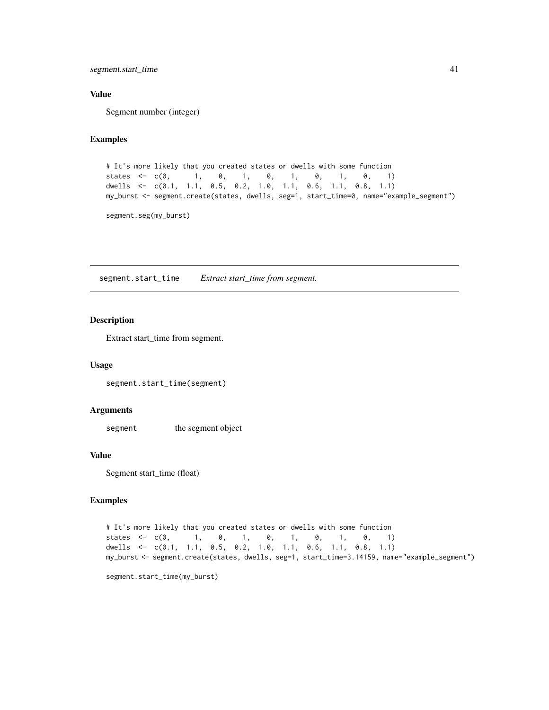<span id="page-40-0"></span>segment.start\_time 41

#### Value

Segment number (integer)

#### Examples

```
# It's more likely that you created states or dwells with some function
states <- c(0, 1, 0, 1, 0, 1, 0, 1, 0, 1)
dwells <- c(0.1, 1.1, 0.5, 0.2, 1.0, 1.1, 0.6, 1.1, 0.8, 1.1)
my_burst <- segment.create(states, dwells, seg=1, start_time=0, name="example_segment")
```
segment.seg(my\_burst)

segment.start\_time *Extract start\_time from segment.*

#### Description

Extract start\_time from segment.

#### Usage

segment.start\_time(segment)

#### **Arguments**

segment the segment object

#### Value

Segment start\_time (float)

#### Examples

```
# It's more likely that you created states or dwells with some function
states <- c(\emptyset, 1, \emptyset, 1, \emptyset, 1, \emptyset, 1, \emptyset, 1)dwells <- c(0.1, 1.1, 0.5, 0.2, 1.0, 1.1, 0.6, 1.1, 0.8, 1.1)
my_burst <- segment.create(states, dwells, seg=1, start_time=3.14159, name="example_segment")
```
segment.start\_time(my\_burst)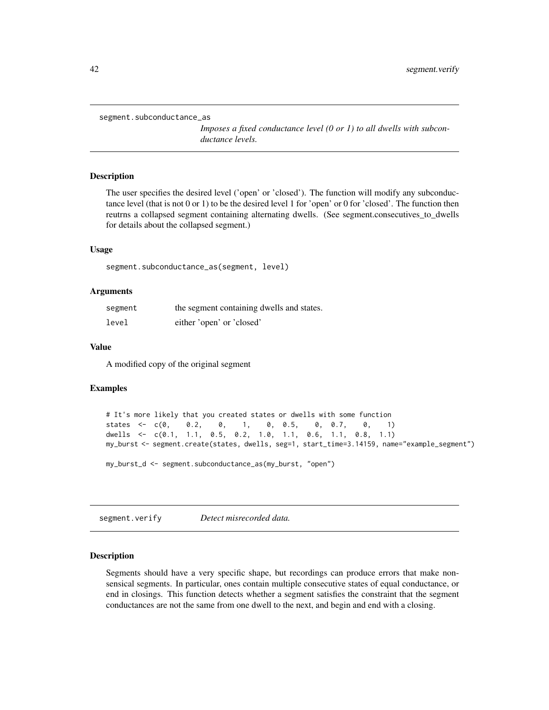<span id="page-41-0"></span>segment.subconductance\_as

*Imposes a fixed conductance level (0 or 1) to all dwells with subconductance levels.*

#### Description

The user specifies the desired level ('open' or 'closed'). The function will modify any subconductance level (that is not 0 or 1) to be the desired level 1 for 'open' or 0 for 'closed'. The function then reutrns a collapsed segment containing alternating dwells. (See segment.consecutives\_to\_dwells for details about the collapsed segment.)

#### Usage

segment.subconductance\_as(segment, level)

#### Arguments

| segment | the segment containing dwells and states. |
|---------|-------------------------------------------|
| level   | either 'open' or 'closed'                 |

#### Value

A modified copy of the original segment

#### Examples

```
# It's more likely that you created states or dwells with some function
states <- c(0, 0.2, 0, 1, 0, 0.5, 0, 0.7, 0, 1)
dwells <- c(0.1, 1.1, 0.5, 0.2, 1.0, 1.1, 0.6, 1.1, 0.8, 1.1)
my_burst <- segment.create(states, dwells, seg=1, start_time=3.14159, name="example_segment")
my_burst_d <- segment.subconductance_as(my_burst, "open")
```
segment.verify *Detect misrecorded data.*

#### Description

Segments should have a very specific shape, but recordings can produce errors that make nonsensical segments. In particular, ones contain multiple consecutive states of equal conductance, or end in closings. This function detects whether a segment satisfies the constraint that the segment conductances are not the same from one dwell to the next, and begin and end with a closing.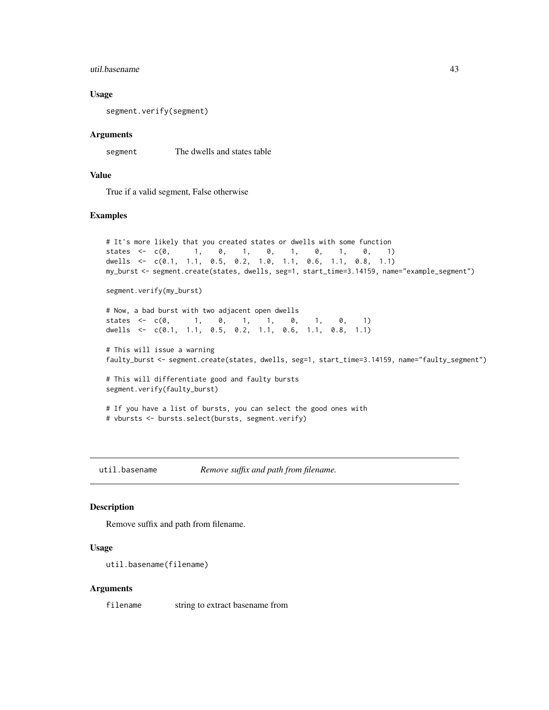#### <span id="page-42-0"></span>util.basename 43

#### Usage

segment.verify(segment)

#### Arguments

segment The dwells and states table

#### Value

True if a valid segment, False otherwise

#### Examples

```
# It's more likely that you created states or dwells with some function
states <- c(\emptyset, 1, \emptyset, 1, \emptyset, 1, \emptyset, 1, \emptyset, 1)dwells <- c(0.1, 1.1, 0.5, 0.2, 1.0, 1.1, 0.6, 1.1, 0.8, 1.1)
my_burst <- segment.create(states, dwells, seg=1, start_time=3.14159, name="example_segment")
segment.verify(my_burst)
# Now, a bad burst with two adjacent open dwells
states <- c(0, 1, 0, 1, 1, 0, 1, 0, 1)
dwells <- c(0.1, 1.1, 0.5, 0.2, 1.1, 0.6, 1.1, 0.8, 1.1)
# This will issue a warning
faulty_burst <- segment.create(states, dwells, seg=1, start_time=3.14159, name="faulty_segment")
# This will differentiate good and faulty bursts
segment.verify(faulty_burst)
# If you have a list of bursts, you can select the good ones with
# vbursts <- bursts.select(bursts, segment.verify)
```
util.basename *Remove suffix and path from filename.*

#### Description

Remove suffix and path from filename.

#### Usage

```
util.basename(filename)
```
#### Arguments

filename string to extract basename from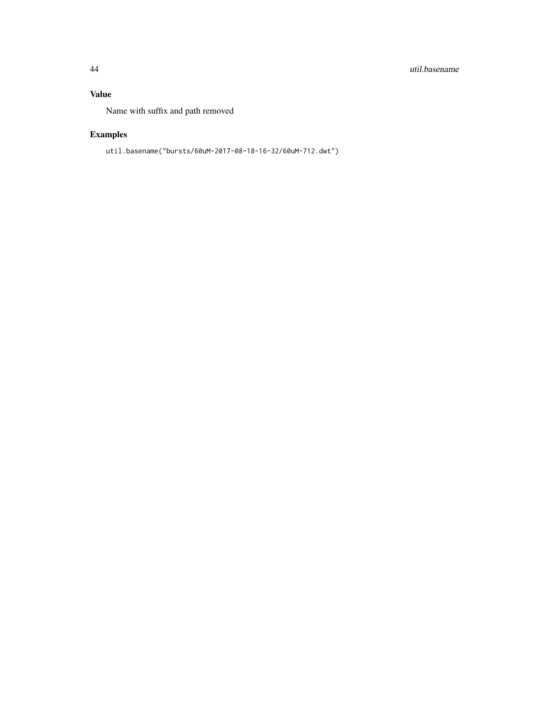#### 44 util.basename

#### Value

Name with suffix and path removed

## Examples

util.basename("bursts/60uM-2017-08-18-16-32/60uM-712.dwt")